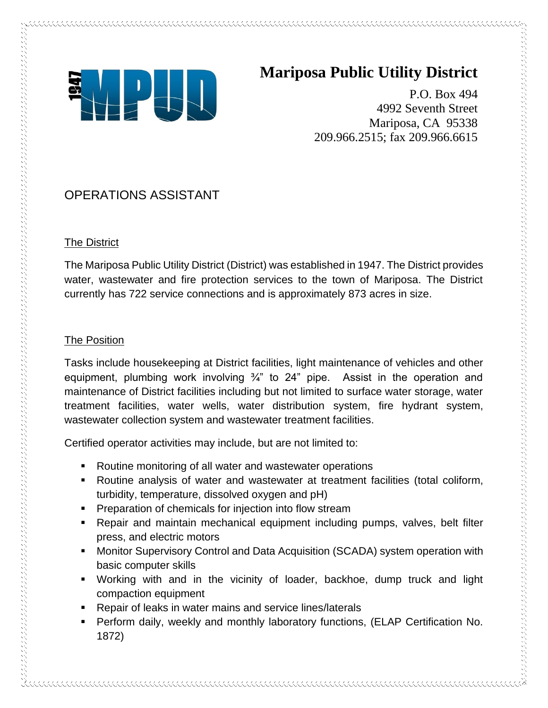

# **Mariposa Public Utility District**

P.O. Box 494 4992 Seventh Street Mariposa, CA 95338 209.966.2515; fax 209.966.6615

# OPERATIONS ASSISTANT

## The District

The Mariposa Public Utility District (District) was established in 1947. The District provides water, wastewater and fire protection services to the town of Mariposa. The District currently has 722 service connections and is approximately 873 acres in size.

## The Position

アルクス しゅうしょう きょうこう きょうこう きょうこう きょうこう きょうこう きょうこう きょうこう こうしょう こうしょう こうしょう こうしょう こうしょう こうしょう こうしょう こうしょう こうしょう こうしょう こうしょう こうしょう こうしょう こうしょう こうしょう こうしょう こうしょう こうしょう こうしょう こうしょう こうしょうしょう こうしょう

Tasks include housekeeping at District facilities, light maintenance of vehicles and other equipment, plumbing work involving ¾" to 24" pipe. Assist in the operation and maintenance of District facilities including but not limited to surface water storage, water treatment facilities, water wells, water distribution system, fire hydrant system, wastewater collection system and wastewater treatment facilities.

Certified operator activities may include, but are not limited to:

- Routine monitoring of all water and wastewater operations
- Routine analysis of water and wastewater at treatment facilities (total coliform, turbidity, temperature, dissolved oxygen and pH)
- Preparation of chemicals for injection into flow stream
- Repair and maintain mechanical equipment including pumps, valves, belt filter press, and electric motors
- Monitor Supervisory Control and Data Acquisition (SCADA) system operation with basic computer skills
- Working with and in the vicinity of loader, backhoe, dump truck and light compaction equipment
- Repair of leaks in water mains and service lines/laterals
- **•** Perform daily, weekly and monthly laboratory functions, (ELAP Certification No. 1872)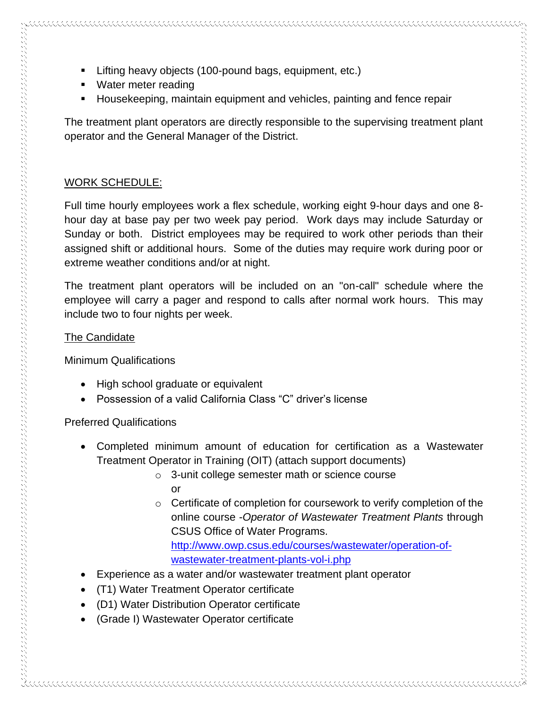- Lifting heavy objects (100-pound bags, equipment, etc.)
- Water meter reading
- Housekeeping, maintain equipment and vehicles, painting and fence repair

The treatment plant operators are directly responsible to the supervising treatment plant operator and the General Manager of the District.

#### WORK SCHEDULE:

Full time hourly employees work a flex schedule, working eight 9-hour days and one 8 hour day at base pay per two week pay period. Work days may include Saturday or Sunday or both. District employees may be required to work other periods than their assigned shift or additional hours. Some of the duties may require work during poor or extreme weather conditions and/or at night.

The treatment plant operators will be included on an "on-call" schedule where the employee will carry a pager and respond to calls after normal work hours. This may include two to four nights per week.

#### The Candidate

Minimum Qualifications

- High school graduate or equivalent
- Possession of a valid California Class "C" driver's license

### Preferred Qualifications

- Completed minimum amount of education for certification as a Wastewater Treatment Operator in Training (OIT) (attach support documents)
	- o 3-unit college semester math or science course or
	- o Certificate of completion for coursework to verify completion of the online course -*Operator of Wastewater Treatment Plants* through CSUS Office of Water Programs. [http://www.owp.csus.edu/courses/wastewater/operation-of-](http://www.owp.csus.edu/courses/wastewater/operation-of-wastewater-treatment-plants-vol-i.php)

[wastewater-treatment-plants-vol-i.php](http://www.owp.csus.edu/courses/wastewater/operation-of-wastewater-treatment-plants-vol-i.php)

- Experience as a water and/or wastewater treatment plant operator
- (T1) Water Treatment Operator certificate
- (D1) Water Distribution Operator certificate
- (Grade I) Wastewater Operator certificate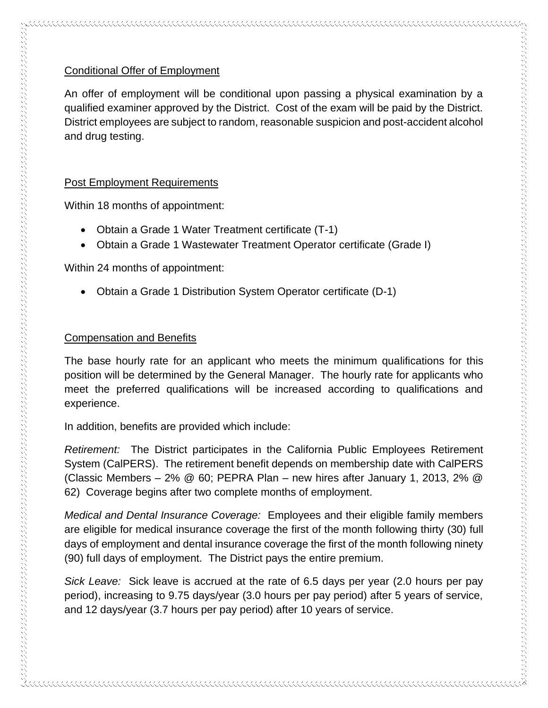#### Conditional Offer of Employment

An offer of employment will be conditional upon passing a physical examination by a qualified examiner approved by the District. Cost of the exam will be paid by the District. District employees are subject to random, reasonable suspicion and post-accident alcohol and drug testing.

#### Post Employment Requirements

Within 18 months of appointment:

- Obtain a Grade 1 Water Treatment certificate (T-1)
- Obtain a Grade 1 Wastewater Treatment Operator certificate (Grade I)

Within 24 months of appointment:

• Obtain a Grade 1 Distribution System Operator certificate (D-1)

#### Compensation and Benefits

The base hourly rate for an applicant who meets the minimum qualifications for this position will be determined by the General Manager. The hourly rate for applicants who meet the preferred qualifications will be increased according to qualifications and experience.

In addition, benefits are provided which include:

*Retirement:* The District participates in the California Public Employees Retirement System (CalPERS). The retirement benefit depends on membership date with CalPERS (Classic Members – 2% @ 60; PEPRA Plan – new hires after January 1, 2013, 2% @ 62) Coverage begins after two complete months of employment.

*Medical and Dental Insurance Coverage:* Employees and their eligible family members are eligible for medical insurance coverage the first of the month following thirty (30) full days of employment and dental insurance coverage the first of the month following ninety (90) full days of employment. The District pays the entire premium.

*Sick Leave:* Sick leave is accrued at the rate of 6.5 days per year (2.0 hours per pay period), increasing to 9.75 days/year (3.0 hours per pay period) after 5 years of service, and 12 days/year (3.7 hours per pay period) after 10 years of service.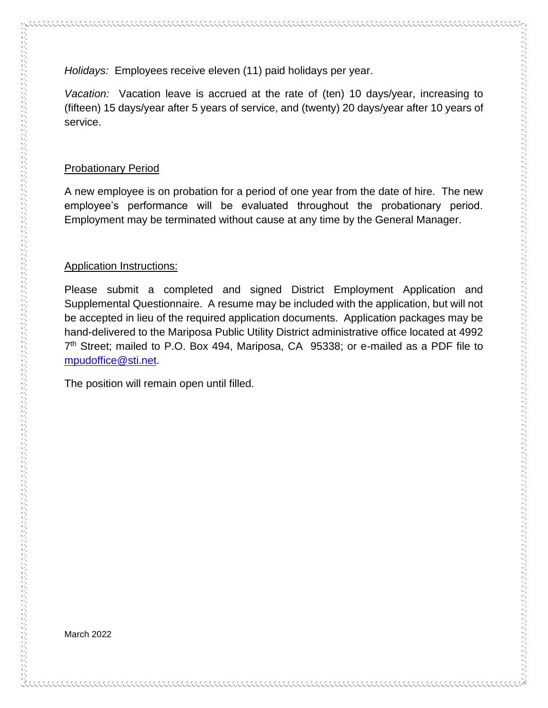*Holidays:* Employees receive eleven (11) paid holidays per year.

*Vacation:* Vacation leave is accrued at the rate of (ten) 10 days/year, increasing to (fifteen) 15 days/year after 5 years of service, and (twenty) 20 days/year after 10 years of service.

#### Probationary Period

A new employee is on probation for a period of one year from the date of hire. The new employee's performance will be evaluated throughout the probationary period. Employment may be terminated without cause at any time by the General Manager.

#### Application Instructions:

Please submit a completed and signed District Employment Application and Supplemental Questionnaire. A resume may be included with the application, but will not be accepted in lieu of the required application documents. Application packages may be hand-delivered to the Mariposa Public Utility District administrative office located at 4992 7 th Street; mailed to P.O. Box 494, Mariposa, CA 95338; or e-mailed as a PDF file to [mpudoffice@sti.net.](mailto:mpudoffice@sti.net)

The position will remain open until filled.

March 2022